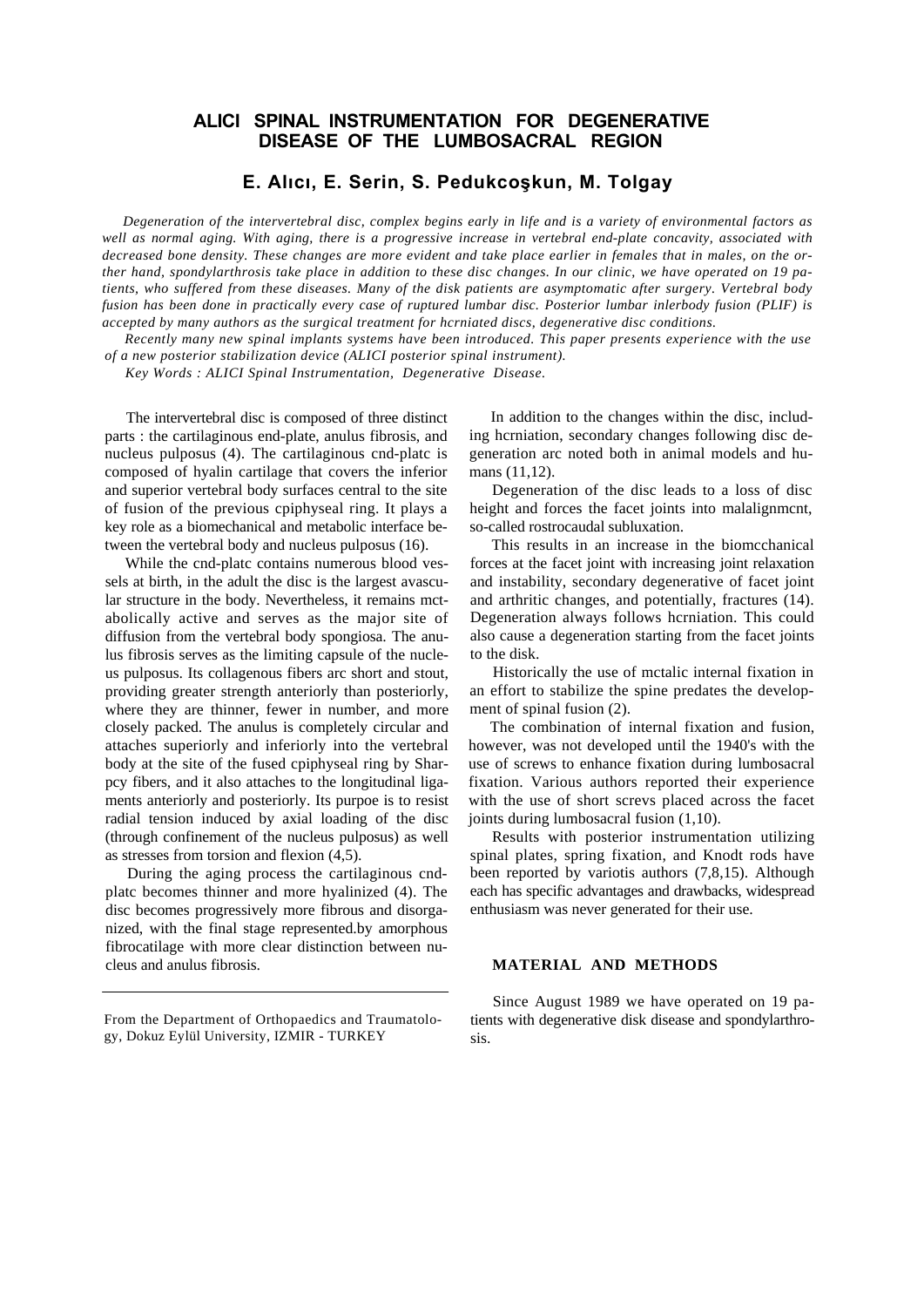# **ALICI SPINAL INSTRUMENTATION FOR DEGENERATIVE DISEASE OF THE LUMBOSACRAL REGION**

## **E. Alıcı, E. Serin, S. Pedukcoşkun, M. Tolgay**

*Degeneration of the intervertebral disc, complex begins early in life and is a variety of environmental factors as well as normal aging. With aging, there is a progressive increase in vertebral end-plate concavity, associated with decreased bone density. These changes are more evident and take place earlier in females that in males, on the orther hand, spondylarthrosis take place in addition to these disc changes. In our clinic, we have operated on 19 patients, who suffered from these diseases. Many of the disk patients are asymptomatic after surgery. Vertebral body fusion has been done in practically every case of ruptured lumbar disc. Posterior lumbar inlerbody fusion (PLIF) is accepted by many authors as the surgical treatment for hcrniated discs, degenerative disc conditions.*

*Recently many new spinal implants systems have been introduced. This paper presents experience with the use of a new posterior stabilization device (ALICI posterior spinal instrument).*

*Key Words : ALICI Spinal Instrumentation, Degenerative Disease.*

The intervertebral disc is composed of three distinct parts : the cartilaginous end-plate, anulus fibrosis, and nucleus pulposus (4). The cartilaginous cnd-platc is composed of hyalin cartilage that covers the inferior and superior vertebral body surfaces central to the site of fusion of the previous cpiphyseal ring. It plays a key role as a biomechanical and metabolic interface between the vertebral body and nucleus pulposus (16).

While the cnd-platc contains numerous blood vessels at birth, in the adult the disc is the largest avascular structure in the body. Nevertheless, it remains mctabolically active and serves as the major site of diffusion from the vertebral body spongiosa. The anulus fibrosis serves as the limiting capsule of the nucleus pulposus. Its collagenous fibers arc short and stout, providing greater strength anteriorly than posteriorly, where they are thinner, fewer in number, and more closely packed. The anulus is completely circular and attaches superiorly and inferiorly into the vertebral body at the site of the fused cpiphyseal ring by Sharpcy fibers, and it also attaches to the longitudinal ligaments anteriorly and posteriorly. Its purpoe is to resist radial tension induced by axial loading of the disc (through confinement of the nucleus pulposus) as well as stresses from torsion and flexion (4,5).

During the aging process the cartilaginous cndplatc becomes thinner and more hyalinized (4). The disc becomes progressively more fibrous and disorganized, with the final stage represented.by amorphous fibrocatilage with more clear distinction between nucleus and anulus fibrosis.

From the Department of Orthopaedics and Traumatology, Dokuz Eylül University, IZMIR - TURKEY

In addition to the changes within the disc, including hcrniation, secondary changes following disc degeneration arc noted both in animal models and humans (11,12).

Degeneration of the disc leads to a loss of disc height and forces the facet joints into malalignmcnt, so-called rostrocaudal subluxation.

This results in an increase in the biomcchanical forces at the facet joint with increasing joint relaxation and instability, secondary degenerative of facet joint and arthritic changes, and potentially, fractures (14). Degeneration always follows hcrniation. This could also cause a degeneration starting from the facet joints to the disk.

Historically the use of mctalic internal fixation in an effort to stabilize the spine predates the development of spinal fusion (2).

The combination of internal fixation and fusion, however, was not developed until the 1940's with the use of screws to enhance fixation during lumbosacral fixation. Various authors reported their experience with the use of short screvs placed across the facet joints during lumbosacral fusion (1,10).

Results with posterior instrumentation utilizing spinal plates, spring fixation, and Knodt rods have been reported by variotis authors (7,8,15). Although each has specific advantages and drawbacks, widespread enthusiasm was never generated for their use.

### **MATERIAL AND METHODS**

Since August 1989 we have operated on 19 patients with degenerative disk disease and spondylarthrosis.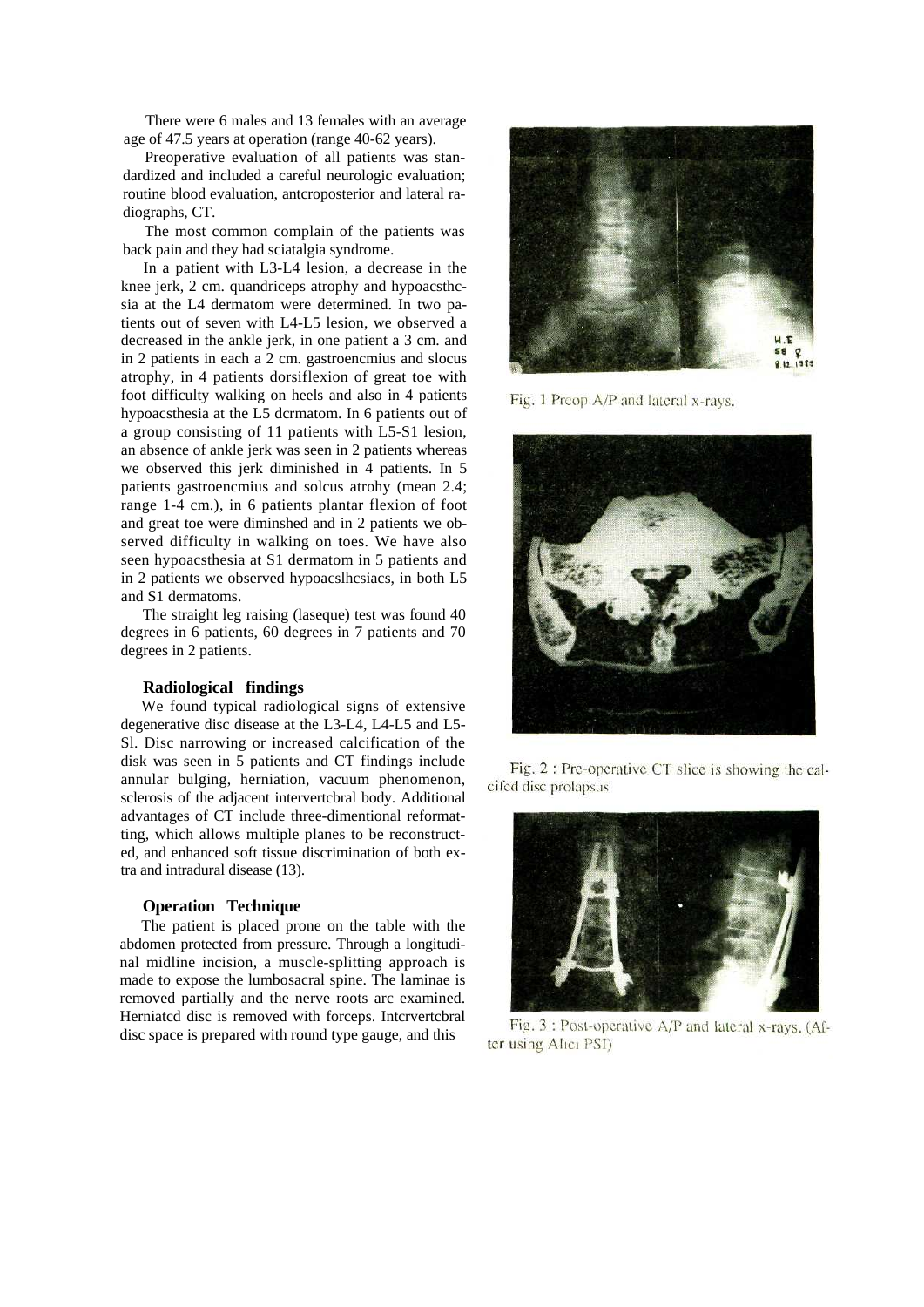There were 6 males and 13 females with an average age of 47.5 years at operation (range 40-62 years).

Preoperative evaluation of all patients was standardized and included a careful neurologic evaluation; routine blood evaluation, antcroposterior and lateral radiographs, CT.

The most common complain of the patients was back pain and they had sciatalgia syndrome.

In a patient with L3-L4 lesion, a decrease in the knee jerk, 2 cm. quandriceps atrophy and hypoacsthcsia at the L4 dermatom were determined. In two patients out of seven with L4-L5 lesion, we observed a decreased in the ankle jerk, in one patient a 3 cm. and in 2 patients in each a 2 cm. gastroencmius and slocus atrophy, in 4 patients dorsiflexion of great toe with foot difficulty walking on heels and also in 4 patients hypoacsthesia at the L5 dcrmatom. In 6 patients out of a group consisting of 11 patients with L5-S1 lesion, an absence of ankle jerk was seen in 2 patients whereas we observed this jerk diminished in 4 patients. In 5 patients gastroencmius and solcus atrohy (mean 2.4; range 1-4 cm.), in 6 patients plantar flexion of foot and great toe were diminshed and in 2 patients we observed difficulty in walking on toes. We have also seen hypoacsthesia at S1 dermatom in 5 patients and in 2 patients we observed hypoacslhcsiacs, in both L5 and S1 dermatoms.

The straight leg raising (laseque) test was found 40 degrees in 6 patients, 60 degrees in 7 patients and 70 degrees in 2 patients.

#### **Radiological findings**

We found typical radiological signs of extensive degenerative disc disease at the L3-L4, L4-L5 and L5- Sl. Disc narrowing or increased calcification of the disk was seen in 5 patients and CT findings include annular bulging, herniation, vacuum phenomenon, sclerosis of the adjacent intervertcbral body. Additional advantages of CT include three-dimentional reformatting, which allows multiple planes to be reconstructed, and enhanced soft tissue discrimination of both extra and intradural disease (13).

### **Operation Technique**

The patient is placed prone on the table with the abdomen protected from pressure. Through a longitudinal midline incision, a muscle-splitting approach is made to expose the lumbosacral spine. The laminae is removed partially and the nerve roots arc examined. Herniatcd disc is removed with forceps. Intcrvertcbral disc space is prepared with round type gauge, and this



Fig. 1 Preop A/P and lateral x-rays.



Fig. 2 : Pre-operative CT slice is showing the calcifed disc prolapsus



Fig. 3 : Post-operative A/P and lateral x-rays. (After using Alici PSI)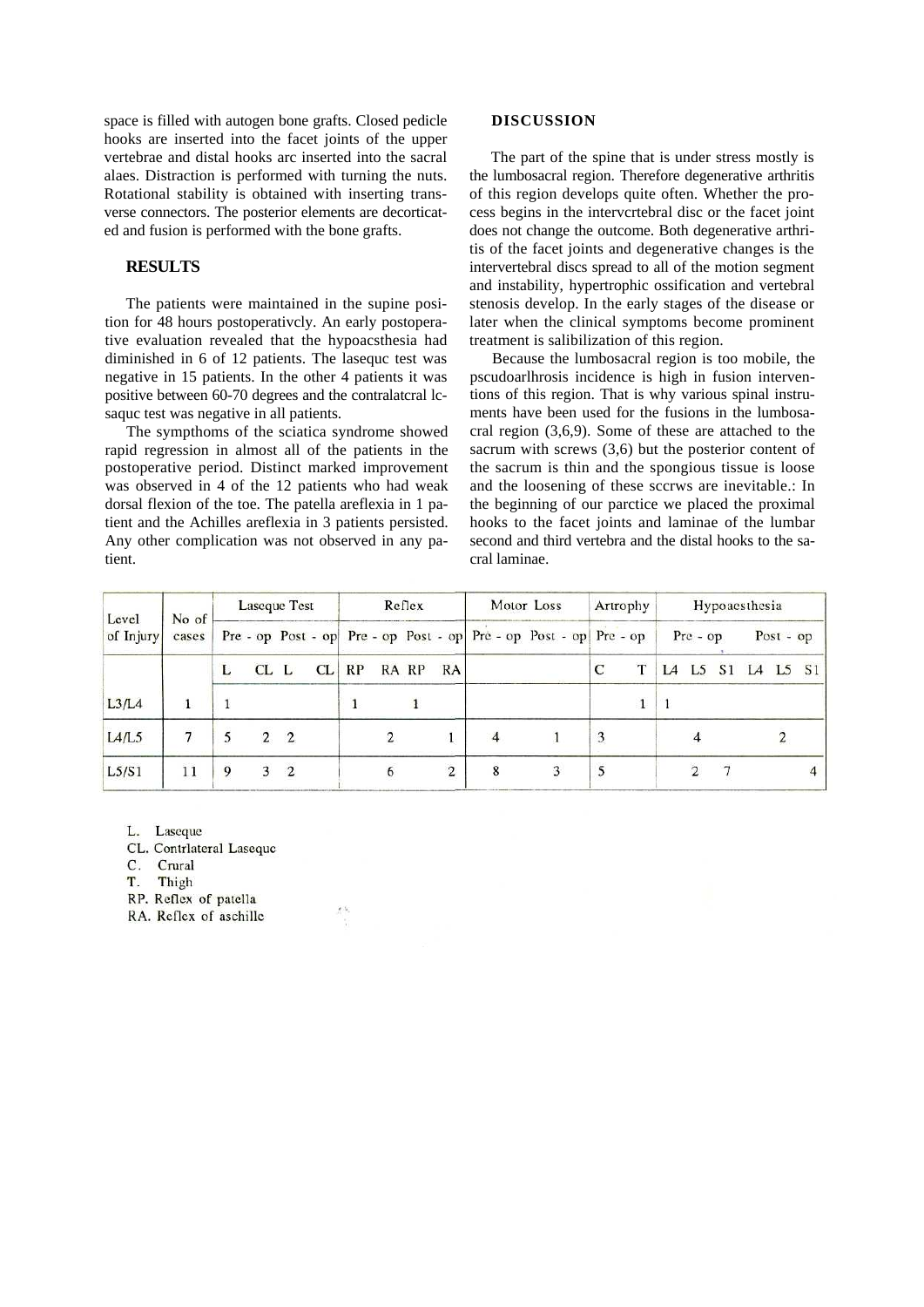space is filled with autogen bone grafts. Closed pedicle hooks are inserted into the facet joints of the upper vertebrae and distal hooks arc inserted into the sacral alaes. Distraction is performed with turning the nuts. Rotational stability is obtained with inserting transverse connectors. The posterior elements are decorticated and fusion is performed with the bone grafts.

### **RESULTS**

The patients were maintained in the supine position for 48 hours postoperativcly. An early postoperative evaluation revealed that the hypoacsthesia had diminished in 6 of 12 patients. The lasequc test was negative in 15 patients. In the other 4 patients it was positive between 60-70 degrees and the contralatcral lcsaquc test was negative in all patients.

The sympthoms of the sciatica syndrome showed rapid regression in almost all of the patients in the postoperative period. Distinct marked improvement was observed in 4 of the 12 patients who had weak dorsal flexion of the toe. The patella areflexia in 1 patient and the Achilles areflexia in 3 patients persisted. Any other complication was not observed in any patient.

#### **DISCUSSION**

The part of the spine that is under stress mostly is the lumbosacral region. Therefore degenerative arthritis of this region develops quite often. Whether the process begins in the intervcrtebral disc or the facet joint does not change the outcome. Both degenerative arthritis of the facet joints and degenerative changes is the intervertebral discs spread to all of the motion segment and instability, hypertrophic ossification and vertebral stenosis develop. In the early stages of the disease or later when the clinical symptoms become prominent treatment is salibilization of this region.

Because the lumbosacral region is too mobile, the pscudoarlhrosis incidence is high in fusion interventions of this region. That is why various spinal instruments have been used for the fusions in the lumbosacral region (3,6,9). Some of these are attached to the sacrum with screws (3,6) but the posterior content of the sacrum is thin and the spongious tissue is loose and the loosening of these sccrws are inevitable.: In the beginning of our parctice we placed the proximal hooks to the facet joints and laminae of the lumbar second and third vertebra and the distal hooks to the sacral laminae.

| Level<br>of Injury | No of<br>cases | Laseque Test |                |                |    | Reflex |   |       |            | Motor Loss |                                                                   | Artrophy     |   | Hypoaesthesia |  |  |                |  |   |
|--------------------|----------------|--------------|----------------|----------------|----|--------|---|-------|------------|------------|-------------------------------------------------------------------|--------------|---|---------------|--|--|----------------|--|---|
|                    |                |              |                |                |    |        |   |       |            |            | Pre - op Post - op Pre - op Post - op Pre - op Post - op Pre - op |              |   | $Pre - op$    |  |  | $Post - op$    |  |   |
|                    |                | L            | $CL$ $L$       |                | CL | RP     |   | RA RP | RA         |            |                                                                   | $\mathsf{C}$ | т | L4            |  |  | L5 S1 L4 L5 S1 |  |   |
| L3/L4              |                |              |                |                |    |        |   |       |            |            |                                                                   |              |   |               |  |  |                |  |   |
| LA/L5              |                |              | $\overline{2}$ | $\overline{2}$ |    |        |   |       |            |            |                                                                   | 3            |   |               |  |  |                |  |   |
| L5/S1              | 11             | 9            | 3              | $\overline{2}$ |    |        | 6 |       | $\sqrt{2}$ | 8          |                                                                   | 5            |   |               |  |  |                |  | 4 |

L. Laseque

CL. Contrlateral Laseque

C. Crural

T. Thigh

RP. Reflex of patella

RA. Reflex of aschille